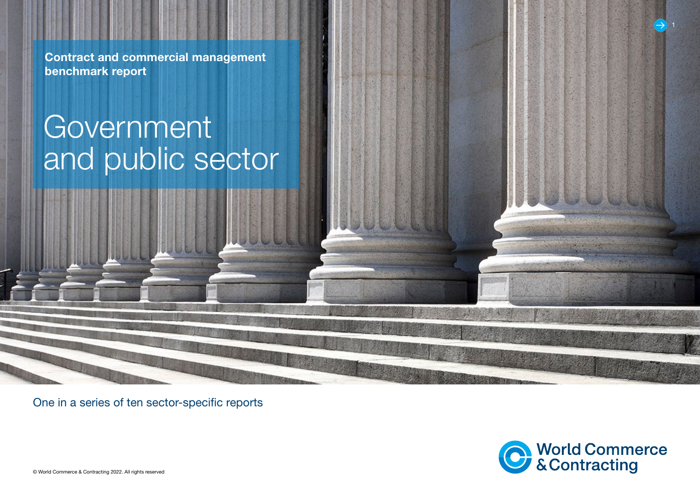Contract and commercial management benchmark report

# Government and public sector

One in a series of ten sector-specific reports



© World Commerce & Contracting 2022. All rights reserved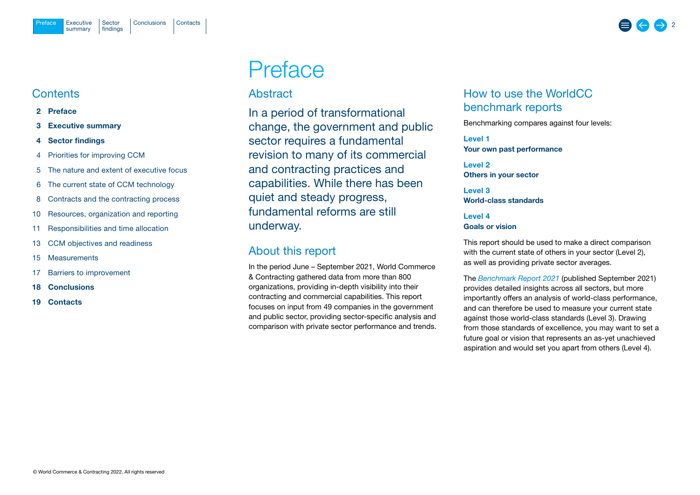# <span id="page-1-0"></span>**Contents**

- 2 Preface
- 3 [Executive summary](#page-2-0)
- 4 [Sector findings](#page-3-0)
- 4 [Priorities for improving CCM](#page-3-0)
- 5 [The nature and extent of executive focus](#page-4-0)
- 6 [The current state of CCM technology](#page-5-0)
- 8 [Contracts and the contracting process](#page-7-0)
- 10 [Resources, organization and reporting](#page-9-0)
- 11 [Responsibilities and time allocation](#page-10-0)
- 13 [CCM objectives](#page-12-0) and readiness
- 15 [Measurements](#page-14-0)
- 17 [Barriers to improvement](#page-16-0)
- 18 [Conclusions](#page-17-0)
- 19 [Contacts](#page-18-0)

# Preface

# Abstract

In a period of transformational change, the government and public sector requires a fundamental revision to many of its commercial and contracting practices and capabilities. While there has been quiet and steady progress, fundamental reforms are still underway.

# About this report

In the period June – September 2021, World Commerce & Contracting gathered data from more than 800 organizations, providing in-depth visibility into their contracting and commercial capabilities. This report focuses on input from 49 companies in the government and public sector, providing sector-specific analysis and comparison with private sector performance and trends.

# How to use the WorldCC benchmark reports

Benchmarking compares against four levels:

Level 1 Your own past performance

Level 2 Others in your sector

Level 3 World-class standards

Level 4 Goals or vision

This report should be used to make a direct comparison with the current state of others in your sector (Level 2), as well as providing private sector averages.

The *[Benchmark Report](https://www.worldcc.com/Portals/IACCM/Resources/WorldCC-Benchmark-report-2021.pdf?ver=NPQMEljK4Q-meXZLABtd2w%3d%3d) 2021* (published September 2021) provides detailed insights across all sectors, but more importantly offers an analysis of world-class performance, and can therefore be used to measure your current state against those world-class standards (Level 3). Drawing from those standards of excellence, you may want to set a future goal or vision that represents an as-yet unachieved aspiration and would set you apart from others (Level 4).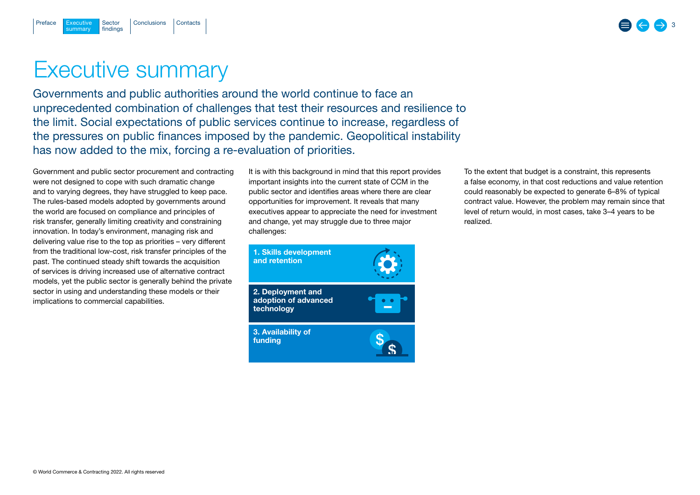# Executive summary

summary

<span id="page-2-0"></span>[Preface](#page-1-0)

Sector findings

Governments and public authorities around the world continue to face an unprecedented combination of challenges that test their resources and resilience to the limit. Social expectations of public services continue to increase, regardless of the pressures on public finances imposed by the pandemic. Geopolitical instability has now added to the mix, forcing a re-evaluation of priorities.

Government and public sector procurement and contracting were not designed to cope with such dramatic change and to varying degrees, they have struggled to keep pace. The rules-based models adopted by governments around the world are focused on compliance and principles of risk transfer, generally limiting creativity and constraining innovation. In today's environment, managing risk and delivering value rise to the top as priorities – very different from the traditional low-cost, risk transfer principles of the past. The continued steady shift towards the acquisition of services is driving increased use of alternative contract models, yet the public sector is generally behind the private sector in using and understanding these models or their implications to commercial capabilities.

It is with this background in mind that this report provides important insights into the current state of CCM in the public sector and identifies areas where there are clear opportunities for improvement. It reveals that many executives appear to appreciate the need for investment and change, yet may struggle due to three major challenges:

 $\boldsymbol{\mathsf{S}}$  $\mathcal{S}$  To the extent that budget is a constraint, this represents a false economy, in that cost reductions and value retention could reasonably be expected to generate 6–8% of typical contract value. However, the problem may remain since that level of return would, in most cases, take 3–4 years to be realized.



3. Availability of funding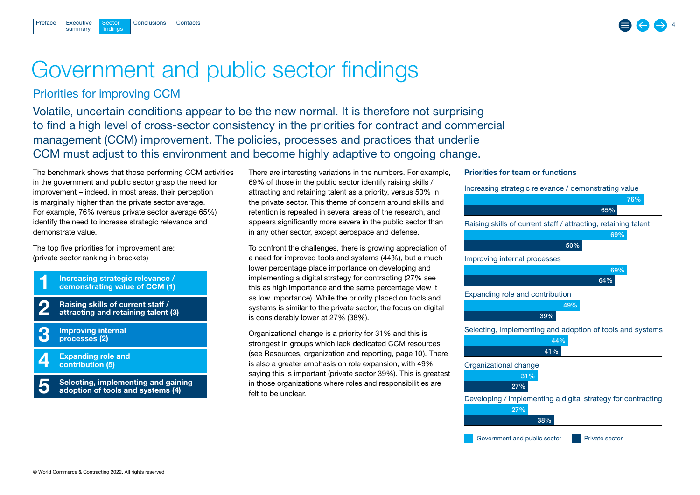<span id="page-3-0"></span>

# Government and public sector findings

# Priorities for improving CCM

Volatile, uncertain conditions appear to be the new normal. It is therefore not surprising to find a high level of cross-sector consistency in the priorities for contract and commercial management (CCM) improvement. The policies, processes and practices that underlie CCM must adjust to this environment and become highly adaptive to ongoing change.

The benchmark shows that those performing CCM activities in the government and public sector grasp the need for improvement – indeed, in most areas, their perception is marginally higher than the private sector average. For example, 76% (versus private sector average 65%) identify the need to increase strategic relevance and demonstrate value.

The top five priorities for improvement are: (private sector ranking in brackets)

Increasing strategic relevance / demonstrating value of CCM (1) 1

Raising skills of current staff / attracting and retaining talent (3) 2

Improving internal processes (2) 3

Expanding role and contribution (5) 4

Selecting, implementing and gaining adoption of tools and systems (4) 5

There are interesting variations in the numbers. For example, 69% of those in the public sector identify raising skills / attracting and retaining talent as a priority, versus 50% in the private sector. This theme of concern around skills and retention is repeated in several areas of the research, and appears significantly more severe in the public sector than in any other sector, except aerospace and defense.

To confront the challenges, there is growing appreciation of a need for improved tools and systems (44%), but a much lower percentage place importance on developing and implementing a digital strategy for contracting (27% see this as high importance and the same percentage view it as low importance). While the priority placed on tools and systems is similar to the private sector, the focus on digital is considerably lower at 27% (38%).

Organizational change is a priority for 31% and this is strongest in groups which lack dedicated CCM resources (see [Resources, organization and reporting, page 10\)](#page-9-0). There is also a greater emphasis on role expansion, with 49% saying this is important (private sector 39%). This is greatest in those organizations where roles and responsibilities are felt to be unclear.

# Priorities for team or functions



4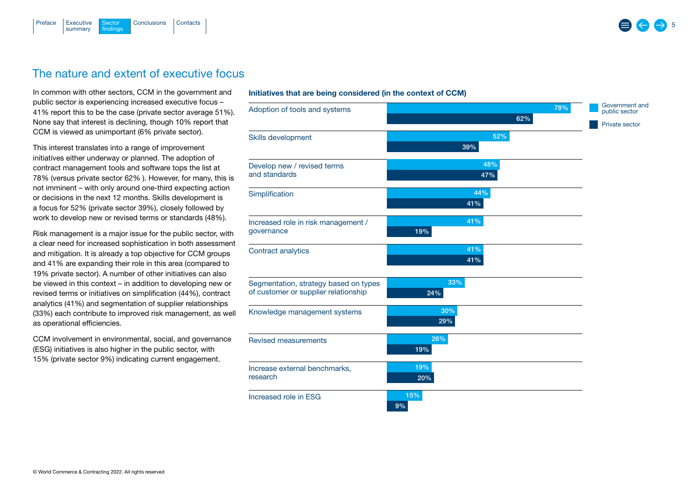<span id="page-4-0"></span>

# The nature and extent of executive focus

In common with other sectors, CCM in the government and public sector is experiencing increased executive focus – 41% report this to be the case (private sector average 51%). None say that interest is declining, though 10% report that CCM is viewed as unimportant (6% private sector).

This interest translates into a range of improvement initiatives either underway or planned. The adoption of contract management tools and software tops the list at 78% (versus private sector 62% ). However, for many, this is not imminent – with only around one-third expecting action or decisions in the next 12 months. Skills development is a focus for 52% (private sector 39%), closely followed by work to develop new or revised terms or standards (48%).

Risk management is a major issue for the public sector, with a clear need for increased sophistication in both assessment and mitigation. It is already a top objective for CCM groups and 41% are expanding their role in this area (compared to 19% private sector). A number of other initiatives can also be viewed in this context – in addition to developing new or revised terms or initiatives on simplification (44%), contract analytics (41%) and segmentation of supplier relationships (33%) each contribute to improved risk management, as well as operational efficiencies.

CCM involvement in environmental, social, and governance (ESG) initiatives is also higher in the public sector, with 15% (private sector 9%) indicating current engagement.

### Initiatives that are being considered (in the context of CCM)

| Adoption of tools and systems         | 78% | Government and<br>public sector |
|---------------------------------------|-----|---------------------------------|
|                                       | 62% | Private sector                  |
| Skills development                    | 52% |                                 |
|                                       | 39% |                                 |
| Develop new / revised terms           | 48% |                                 |
| and standards                         | 47% |                                 |
| Simplification                        | 44% |                                 |
|                                       | 41% |                                 |
| Increased role in risk management /   | 41% |                                 |
| governance                            | 19% |                                 |
| Contract analytics                    | 41% |                                 |
|                                       | 41% |                                 |
| Segmentation, strategy based on types | 33% |                                 |
| of customer or supplier relationship  | 24% |                                 |
| Knowledge management systems          | 30% |                                 |
|                                       | 29% |                                 |
| <b>Revised measurements</b>           | 26% |                                 |
|                                       | 19% |                                 |
| Increase external benchmarks,         | 19% |                                 |
| research                              | 20% |                                 |
| Increased role in ESG                 | 15% |                                 |
|                                       | 9%  |                                 |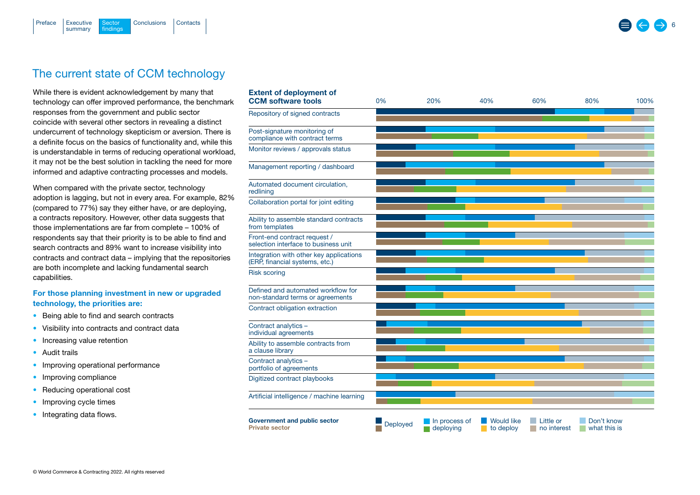<span id="page-5-0"></span>

While there is evident acknowledgement by many that technology can offer improved performance, the benchmark responses from the government and public sector coincide with several other sectors in revealing a distinct undercurrent of technology skepticism or aversion. There is a definite focus on the basics of functionality and, while this is understandable in terms of reducing operational workload, it may not be the best solution in tackling the need for more informed and adaptive contracting processes and models.

When compared with the private sector, technology adoption is lagging, but not in every area. For example, 82% (compared to 77%) say they either have, or are deploying, a contracts repository. However, other data suggests that those implementations are far from complete – 100% of respondents say that their priority is to be able to find and search contracts and 89% want to increase visibility into contracts and contract data – implying that the repositories are both incomplete and lacking fundamental search capabilities.

# For those planning investment in new or upgraded technology, the priorities are:

- Being able to find and search contracts
- Visibility into contracts and contract data
- Increasing value retention
- Audit trails
- Improving operational performance
- Improving compliance
- Reducing operational cost
- Improving cycle times
- Integrating data flows.

| <b>Extent of deployment of</b><br><b>CCM</b> software tools               | 0%       | 20%                        | 40%                            | 60%                      | 80%                        | 100% |
|---------------------------------------------------------------------------|----------|----------------------------|--------------------------------|--------------------------|----------------------------|------|
| Repository of signed contracts                                            |          |                            |                                |                          |                            |      |
| Post-signature monitoring of<br>compliance with contract terms            |          |                            |                                |                          |                            |      |
| Monitor reviews / approvals status                                        |          |                            |                                |                          |                            |      |
| Management reporting / dashboard                                          |          |                            |                                |                          |                            |      |
| Automated document circulation,<br>redlining                              |          |                            |                                |                          |                            |      |
| Collaboration portal for joint editing                                    |          |                            |                                |                          |                            |      |
| Ability to assemble standard contracts<br>from templates                  |          |                            |                                |                          |                            |      |
| Front-end contract request /<br>selection interface to business unit      |          |                            |                                |                          |                            |      |
| Integration with other key applications<br>(ERP, financial systems, etc.) |          |                            |                                |                          |                            |      |
| <b>Risk scoring</b>                                                       |          |                            |                                |                          |                            |      |
| Defined and automated workflow for<br>non-standard terms or agreements    |          |                            |                                |                          |                            |      |
| Contract obligation extraction                                            |          |                            |                                |                          |                            |      |
| Contract analytics -<br>individual agreements                             |          |                            |                                |                          |                            |      |
| Ability to assemble contracts from<br>a clause library                    |          |                            |                                |                          |                            |      |
| Contract analytics -<br>portfolio of agreements                           |          |                            |                                |                          |                            |      |
| Digitized contract playbooks                                              |          |                            |                                |                          |                            |      |
| Artificial intelligence / machine learning                                |          |                            |                                |                          |                            |      |
| Government and public sector<br><b>Private sector</b>                     | Deployed | In process of<br>deploying | <b>Would like</b><br>to deploy | Little or<br>no interest | Don't know<br>what this is |      |

6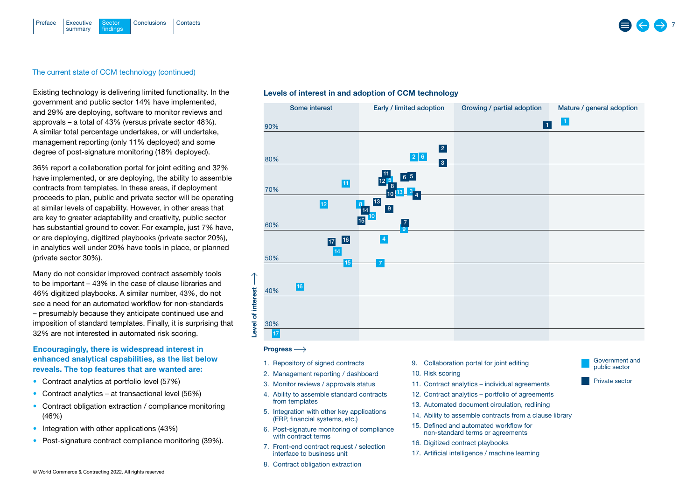

# The current state of CCM technology (continued)

Existing technology is delivering limited functionality. In the government and public sector 14% have implemented, and 29% are deploying, software to monitor reviews and approvals – a total of 43% (versus private sector 48%). A similar total percentage undertakes, or will undertake, management reporting (only 11% deployed) and some degree of post-signature monitoring (18% deployed).

36% report a collaboration portal for joint editing and 32% have implemented, or are deploying, the ability to assemble contracts from templates. In these areas, if deployment proceeds to plan, public and private sector will be operating at similar levels of capability. However, in other areas that are key to greater adaptability and creativity, public sector has substantial ground to cover. For example, just 7% have, or are deploying, digitized playbooks (private sector 20%), in analytics well under 20% have tools in place, or planned (private sector 30%).

Many do not consider improved contract assembly tools to be important – 43% in the case of clause libraries and 46% digitized playbooks. A similar number, 43%, do not see a need for an automated workflow for non-standards – presumably because they anticipate continued use and imposition of standard templates. Finally, it is surprising that 32% are not interested in automated risk scoring.

# Encouragingly, there is widespread interest in enhanced analytical capabilities, as the list below reveals. The top features that are wanted are:

- Contract analytics at portfolio level (57%)
- Contract analytics at transactional level (56%)
- Contract obligation extraction / compliance monitoring (46%)
- Integration with other applications (43%)
- Post-signature contract compliance monitoring (39%).

# Levels of interest in and adoption of CCM technology



### Progress

- 1. Repository of signed contracts
- 2. Management reporting / dashboard
- 3. Monitor reviews / approvals status
- 4. Ability to assemble standard contracts from templates
- 5. Integration with other key applications (ERP, financial systems, etc.)
- 6. Post-signature monitoring of compliance with contract terms
- 7. Front-end contract request / selection interface to business unit
- 8. Contract obligation extraction
- 9. Collaboration portal for joint editing
- 10. Risk scoring
- 11. Contract analytics individual agreements
- 12. Contract analytics portfolio of agreements
- 13. Automated document circulation, redlining
- 14. Ability to assemble contracts from a clause library
- 15. Defined and automated workflow for non-standard terms or agreements
- 16. Digitized contract playbooks
- 17. Artificial intelligence / machine learning



Private sector

© World Commerce & Contracting 2022. All rights reserved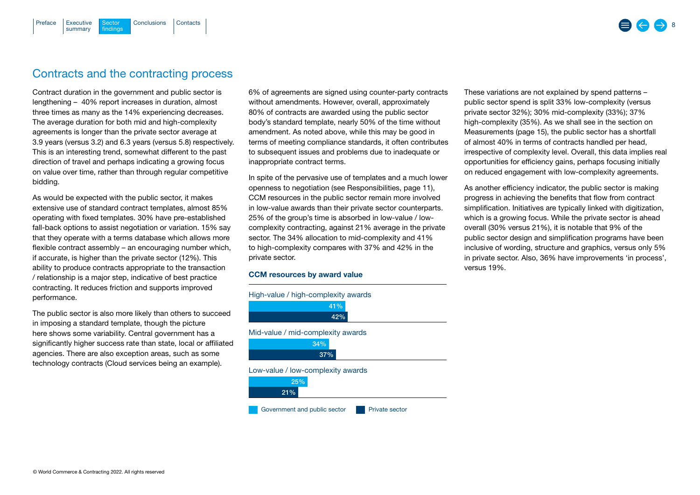# Contracts and the contracting process

[Executive](#page-2-0) Sector [Conclusions](#page-17-0) [Contacts](#page-18-0)

Sector findings

summary

<span id="page-7-0"></span>[Preface](#page-1-0)

Contract duration in the government and public sector is lengthening – 40% report increases in duration, almost three times as many as the 14% experiencing decreases. The average duration for both mid and high-complexity agreements is longer than the private sector average at 3.9 years (versus 3.2) and 6.3 years (versus 5.8) respectively. This is an interesting trend, somewhat different to the past direction of travel and perhaps indicating a growing focus on value over time, rather than through regular competitive bidding.

As would be expected with the public sector, it makes extensive use of standard contract templates, almost 85% operating with fixed templates. 30% have pre-established fall-back options to assist negotiation or variation. 15% say that they operate with a terms database which allows more flexible contract assembly – an encouraging number which, if accurate, is higher than the private sector (12%). This ability to produce contracts appropriate to the transaction / relationship is a major step, indicative of best practice contracting. It reduces friction and supports improved performance.

The public sector is also more likely than others to succeed in imposing a standard template, though the picture here shows some variability. Central government has a significantly higher success rate than state, local or affiliated agencies. There are also exception areas, such as some technology contracts (Cloud services being an example).

6% of agreements are signed using counter-party contracts without amendments. However, overall, approximately 80% of contracts are awarded using the public sector body's standard template, nearly 50% of the time without amendment. As noted above, while this may be good in terms of meeting compliance standards, it often contributes to subsequent issues and problems due to inadequate or inappropriate contract terms.

In spite of the pervasive use of templates and a much lower openness to negotiation ([see Responsibilities, page 11](#page-10-0)), CCM resources in the public sector remain more involved in low-value awards than their private sector counterparts. 25% of the group's time is absorbed in low-value / lowcomplexity contracting, against 21% average in the private sector. The 34% allocation to mid-complexity and 41% to high-complexity compares with 37% and 42% in the private sector.

# CCM resources by award value



These variations are not explained by spend patterns – public sector spend is split 33% low-complexity (versus private sector 32%); 30% mid-complexity (33%); 37% high-complexity (35%). As we shall see in the section on [Measurements \(page 15\),](#page-14-0) the public sector has a shortfall of almost 40% in terms of contracts handled per head, irrespective of complexity level. Overall, this data implies real opportunities for efficiency gains, perhaps focusing initially on reduced engagement with low-complexity agreements.

As another efficiency indicator, the public sector is making progress in achieving the benefits that flow from contract simplification. Initiatives are typically linked with digitization, which is a growing focus. While the private sector is ahead overall (30% versus 21%), it is notable that 9% of the public sector design and simplification programs have been inclusive of wording, structure and graphics, versus only 5% in private sector. Also, 36% have improvements 'in process', versus 19%.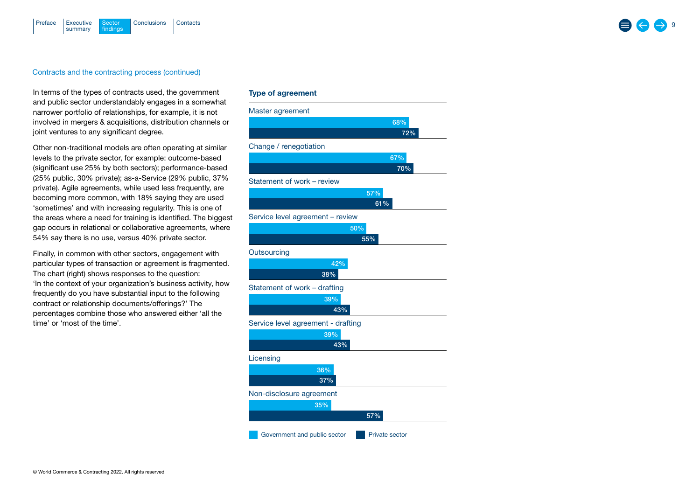

### Contracts and the contracting process (continued)

In terms of the types of contracts used, the government and public sector understandably engages in a somewhat narrower portfolio of relationships, for example, it is not involved in mergers & acquisitions, distribution channels or joint ventures to any significant degree.

Other non-traditional models are often operating at similar levels to the private sector, for example: outcome-based (significant use 25% by both sectors); performance-based (25% public, 30% private); as-a-Service (29% public, 37% private). Agile agreements, while used less frequently, are becoming more common, with 18% saying they are used 'sometimes' and with increasing regularity. This is one of the areas where a need for training is identified. The biggest gap occurs in relational or collaborative agreements, where 54% say there is no use, versus 40% private sector.

Finally, in common with other sectors, engagement with particular types of transaction or agreement is fragmented. The chart (right) shows responses to the question: 'In the context of your organization's business activity, how frequently do you have substantial input to the following contract or relationship documents/offerings?' The percentages combine those who answered either 'all the time' or 'most of the time'.

# Type of agreement

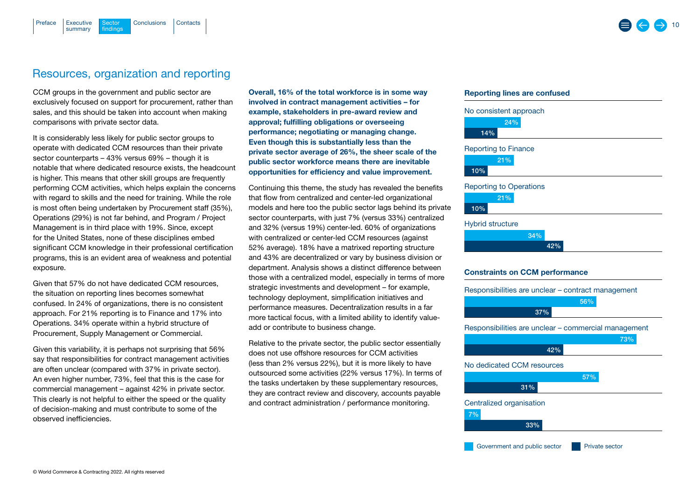**Sector** findings

summary

<span id="page-9-0"></span>[Preface](#page-1-0)

# Resources, organization and reporting

[Executive](#page-2-0) Sector [Conclusions](#page-17-0) [Contacts](#page-18-0)

CCM groups in the government and public sector are exclusively focused on support for procurement, rather than sales, and this should be taken into account when making comparisons with private sector data.

It is considerably less likely for public sector groups to operate with dedicated CCM resources than their private sector counterparts – 43% versus 69% – though it is notable that where dedicated resource exists, the headcount is higher. This means that other skill groups are frequently performing CCM activities, which helps explain the concerns with regard to skills and the need for training. While the role is most often being undertaken by Procurement staff (35%), Operations (29%) is not far behind, and Program / Project Management is in third place with 19%. Since, except for the United States, none of these disciplines embed significant CCM knowledge in their professional certification programs, this is an evident area of weakness and potential exposure.

Given that 57% do not have dedicated CCM resources, the situation on reporting lines becomes somewhat confused. In 24% of organizations, there is no consistent approach. For 21% reporting is to Finance and 17% into Operations. 34% operate within a hybrid structure of Procurement, Supply Management or Commercial.

Given this variability, it is perhaps not surprising that 56% say that responsibilities for contract management activities are often unclear (compared with 37% in private sector). An even higher number, 73%, feel that this is the case for commercial management – against 42% in private sector. This clearly is not helpful to either the speed or the quality of decision-making and must contribute to some of the observed inefficiencies.

Overall, 16% of the total workforce is in some way involved in contract management activities – for example, stakeholders in pre-award review and approval; fulfilling obligations or overseeing performance; negotiating or managing change. Even though this is substantially less than the private sector average of 26%, the sheer scale of the public sector workforce means there are inevitable opportunities for efficiency and value improvement.

Continuing this theme, the study has revealed the benefits that flow from centralized and center-led organizational models and here too the public sector lags behind its private sector counterparts, with just 7% (versus 33%) centralized and 32% (versus 19%) center-led. 60% of organizations with centralized or center-led CCM resources (against 52% average). 18% have a matrixed reporting structure and 43% are decentralized or vary by business division or department. Analysis shows a distinct difference between those with a centralized model, especially in terms of more strategic investments and development – for example, technology deployment, simplification initiatives and performance measures. Decentralization results in a far more tactical focus, with a limited ability to identify valueadd or contribute to business change.

Relative to the private sector, the public sector essentially does not use offshore resources for CCM activities (less than 2% versus 22%), but it is more likely to have outsourced some activities (22% versus 17%). In terms of the tasks undertaken by these supplementary resources, they are contract review and discovery, accounts payable and contract administration / performance monitoring.

# Reporting lines are confused



### Hybrid structure



# Constraints on CCM performance

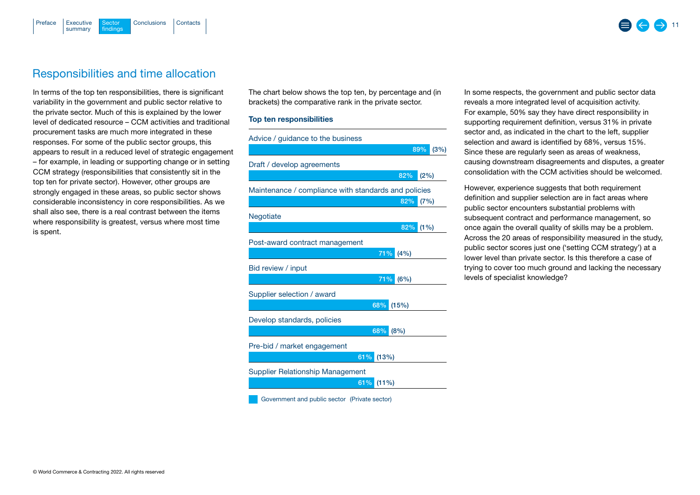<span id="page-10-0"></span>

# Responsibilities and time allocation

In terms of the top ten responsibilities, there is significant variability in the government and public sector relative to the private sector. Much of this is explained by the lower level of dedicated resource – CCM activities and traditional procurement tasks are much more integrated in these responses. For some of the public sector groups, this appears to result in a reduced level of strategic engagement – for example, in leading or supporting change or in setting CCM strategy (responsibilities that consistently sit in the top ten for private sector). However, other groups are strongly engaged in these areas, so public sector shows considerable inconsistency in core responsibilities. As we shall also see, there is a real contrast between the items where responsibility is greatest, versus where most time is spent.

The chart below shows the top ten, by percentage and (in brackets) the comparative rank in the private sector.

## Top ten responsibilities



Government and public sector (Private sector)

In some respects, the government and public sector data reveals a more integrated level of acquisition activity. For example, 50% say they have direct responsibility in supporting requirement definition, versus 31% in private sector and, as indicated in the chart to the left, supplier selection and award is identified by 68%, versus 15%. Since these are regularly seen as areas of weakness, causing downstream disagreements and disputes, a greater consolidation with the CCM activities should be welcomed.

However, experience suggests that both requirement definition and supplier selection are in fact areas where public sector encounters substantial problems with subsequent contract and performance management, so once again the overall quality of skills may be a problem. Across the 20 areas of responsibility measured in the study, public sector scores just one ('setting CCM strategy') at a lower level than private sector. Is this therefore a case of trying to cover too much ground and lacking the necessary levels of specialist knowledge?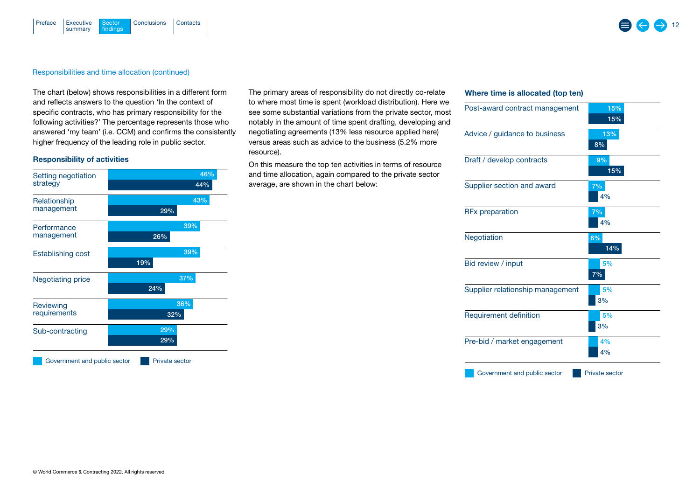### [Executive](#page-2-0) Sector [Conclusions](#page-17-0) [Contacts](#page-18-0) summary **Sector** findings [Preface](#page-1-0)

# Responsibilities and time allocation (continued)

The chart (below) shows responsibilities in a different form and reflects answers to the question 'In the context of specific contracts, who has primary responsibility for the following activities?' The percentage represents those who answered 'my team' (i.e. CCM) and confirms the consistently higher frequency of the leading role in public sector.

# Responsibility of activities

| Setting negotiation<br>strategy | 46%<br>44%     |  |
|---------------------------------|----------------|--|
| Relationship<br>management      | 43%<br>29%     |  |
| Performance<br>management       | 39%<br>26%     |  |
| <b>Establishing cost</b>        | 39%<br>19%     |  |
| <b>Negotiating price</b>        | 37%<br>24%     |  |
| Reviewing<br>requirements       | 36%<br>32%     |  |
| Sub-contracting                 | 29%<br>29%     |  |
| Government and public sector    | Private sector |  |

The primary areas of responsibility do not directly co-relate to where most time is spent (workload distribution). Here we see some substantial variations from the private sector, most notably in the amount of time spent drafting, developing and negotiating agreements (13% less resource applied here) versus areas such as advice to the business (5.2% more resource).

On this measure the top ten activities in terms of resource and time allocation, again compared to the private sector average, are shown in the chart below:

# Where time is allocated (top ten)

| Post-award contract management   | 15%                   |
|----------------------------------|-----------------------|
|                                  | 15%                   |
| Advice / guidance to business    | 13%<br>8%             |
| Draft / develop contracts        | 9%<br>15%             |
| Supplier section and award       | 7%<br>4%              |
| <b>RFx preparation</b>           | 7%<br>4%              |
| Negotiation                      | 6%<br>14%             |
| Bid review / input               | 5%<br>7%              |
| Supplier relationship management | 5%<br>3%              |
| Requirement definition           | 5%<br>3%              |
| Pre-bid / market engagement      | 4%<br>4%              |
| Government and public sector     | <b>Private sector</b> |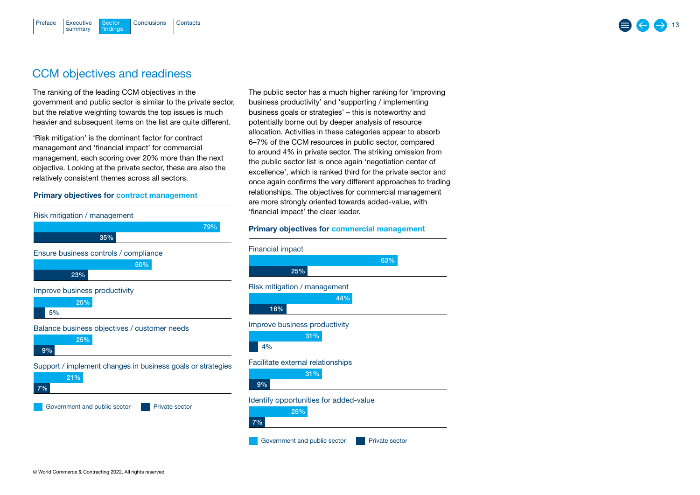# CCM objectives and readiness

**Sector** findings

summary

<span id="page-12-0"></span>[Preface](#page-1-0)

The ranking of the leading CCM objectives in the government and public sector is similar to the private sector, but the relative weighting towards the top issues is much heavier and subsequent items on the list are quite different.

[Executive](#page-2-0) Sector [Conclusions](#page-17-0) [Contacts](#page-18-0)

'Risk mitigation' is the dominant factor for contract management and 'financial impact' for commercial management, each scoring over 20% more than the next objective. Looking at the private sector, these are also the relatively consistent themes across all sectors.

# Primary objectives for contract management



The public sector has a much higher ranking for 'improving business productivity' and 'supporting / implementing business goals or strategies' – this is noteworthy and potentially borne out by deeper analysis of resource allocation. Activities in these categories appear to absorb 6–7% of the CCM resources in public sector, compared to around 4% in private sector. The striking omission from the public sector list is once again 'negotiation center of excellence', which is ranked third for the private sector and once again confirms the very different approaches to trading relationships. The objectives for commercial management are more strongly oriented towards added-value, with 'financial impact' the clear leader.

# Primary objectives for commercial management

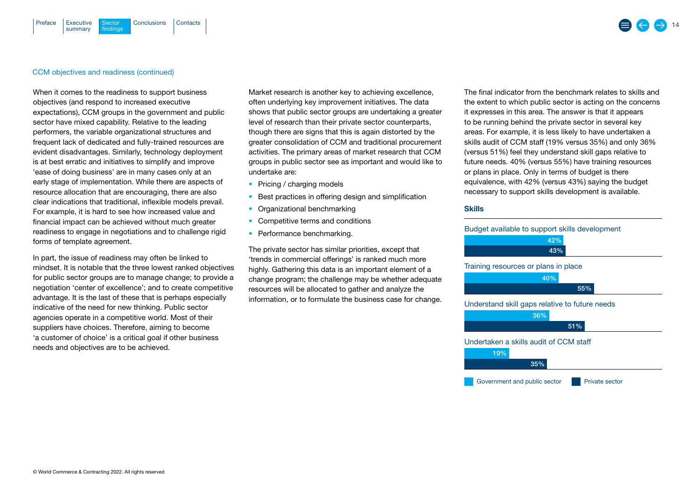### [Executive](#page-2-0) Sector [Conclusions](#page-17-0) [Contacts](#page-18-0) summary Sector findings [Preface](#page-1-0)

# CCM objectives and readiness (continued)

When it comes to the readiness to support business objectives (and respond to increased executive expectations), CCM groups in the government and public sector have mixed capability. Relative to the leading performers, the variable organizational structures and frequent lack of dedicated and fully-trained resources are evident disadvantages. Similarly, technology deployment is at best erratic and initiatives to simplify and improve 'ease of doing business' are in many cases only at an early stage of implementation. While there are aspects of resource allocation that are encouraging, there are also clear indications that traditional, inflexible models prevail. For example, it is hard to see how increased value and financial impact can be achieved without much greater readiness to engage in negotiations and to challenge rigid forms of template agreement.

In part, the issue of readiness may often be linked to mindset. It is notable that the three lowest ranked objectives for public sector groups are to manage change; to provide a negotiation 'center of excellence'; and to create competitive advantage. It is the last of these that is perhaps especially indicative of the need for new thinking. Public sector agencies operate in a competitive world. Most of their suppliers have choices. Therefore, aiming to become 'a customer of choice' is a critical goal if other business needs and objectives are to be achieved.

Market research is another key to achieving excellence, often underlying key improvement initiatives. The data shows that public sector groups are undertaking a greater level of research than their private sector counterparts, though there are signs that this is again distorted by the greater consolidation of CCM and traditional procurement activities. The primary areas of market research that CCM groups in public sector see as important and would like to undertake are:

- Pricing / charging models
- Best practices in offering design and simplification
- Organizational benchmarking
- Competitive terms and conditions
- Performance benchmarking.

The private sector has similar priorities, except that 'trends in commercial offerings' is ranked much more highly. Gathering this data is an important element of a change program; the challenge may be whether adequate resources will be allocated to gather and analyze the information, or to formulate the business case for change. The final indicator from the benchmark relates to skills and the extent to which public sector is acting on the concerns it expresses in this area. The answer is that it appears to be running behind the private sector in several key areas. For example, it is less likely to have undertaken a skills audit of CCM staff (19% versus 35%) and only 36% (versus 51%) feel they understand skill gaps relative to future needs. 40% (versus 55%) have training resources or plans in place. Only in terms of budget is there equivalence, with 42% (versus 43%) saying the budget necessary to support skills development is available.

### **Skills**

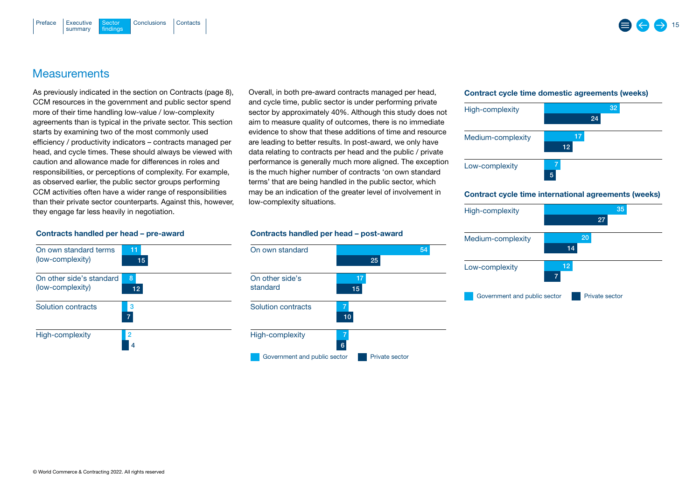# **Measurements**

summary

<span id="page-14-0"></span>[Preface](#page-1-0)

As previously indicated in the section on [Contracts \(page 8\),](#page-7-0) CCM resources in the government and public sector spend more of their time handling low-value / low-complexity agreements than is typical in the private sector. This section starts by examining two of the most commonly used efficiency / productivity indicators – contracts managed per head, and cycle times. These should always be viewed with caution and allowance made for differences in roles and responsibilities, or perceptions of complexity. For example, as observed earlier, the public sector groups performing CCM activities often have a wider range of responsibilities than their private sector counterparts. Against this, however, they engage far less heavily in negotiation.

[Executive](#page-2-0) Sector [Conclusions](#page-17-0) [Contacts](#page-18-0)

**Sector** findings

> Overall, in both pre-award contracts managed per head, and cycle time, public sector is under performing private sector by approximately 40%. Although this study does not aim to measure quality of outcomes, there is no immediate evidence to show that these additions of time and resource are leading to better results. In post-award, we only have data relating to contracts per head and the public / private performance is generally much more aligned. The exception is the much higher number of contracts 'on own standard terms' that are being handled in the public sector, which may be an indication of the greater level of involvement in low-complexity situations.

### Contract cycle time domestic agreements (weeks)



### Contract cycle time international agreements (weeks)



# Contracts handled per head – pre-award



### Contracts handled per head – post-award

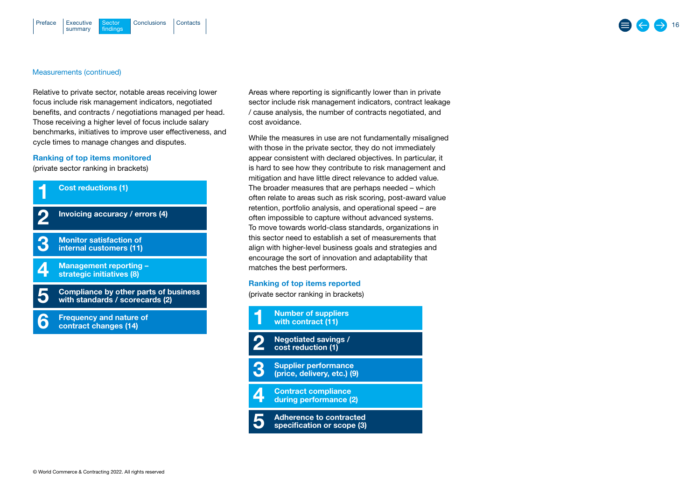### Measurements (continued)

Relative to private sector, notable areas receiving lower focus include risk management indicators, negotiated benefits, and contracts / negotiations managed per head. Those receiving a higher level of focus include salary benchmarks, initiatives to improve user effectiveness, and cycle times to manage changes and disputes.

# Ranking of top items monitored

(private sector ranking in brackets)



Areas where reporting is significantly lower than in private sector include risk management indicators, contract leakage / cause analysis, the number of contracts negotiated, and cost avoidance.

While the measures in use are not fundamentally misaligned with those in the private sector, they do not immediately appear consistent with declared objectives. In particular, it is hard to see how they contribute to risk management and mitigation and have little direct relevance to added value. The broader measures that are perhaps needed – which often relate to areas such as risk scoring, post-award value retention, portfolio analysis, and operational speed – are often impossible to capture without advanced systems. To move towards world-class standards, organizations in this sector need to establish a set of measurements that align with higher-level business goals and strategies and encourage the sort of innovation and adaptability that matches the best performers.

### Ranking of top items reported

(private sector ranking in brackets)

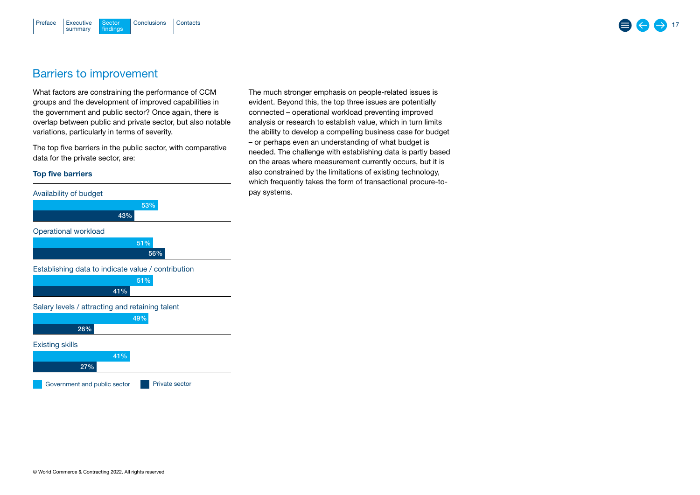### <span id="page-16-0"></span>[Executive](#page-2-0) Sector [Conclusions](#page-17-0) [Contacts](#page-18-0) summary **Sector** findings [Preface](#page-1-0)

# Barriers to improvement

What factors are constraining the performance of CCM groups and the development of improved capabilities in the government and public sector? Once again, there is overlap between public and private sector, but also notable variations, particularly in terms of severity.

The top five barriers in the public sector, with comparative data for the private sector, are:

# Top five barriers



The much stronger emphasis on people-related issues is evident. Beyond this, the top three issues are potentially connected – operational workload preventing improved analysis or research to establish value, which in turn limits the ability to develop a compelling business case for budget – or perhaps even an understanding of what budget is needed. The challenge with establishing data is partly based on the areas where measurement currently occurs, but it is also constrained by the limitations of existing technology, which frequently takes the form of transactional procure-topay systems.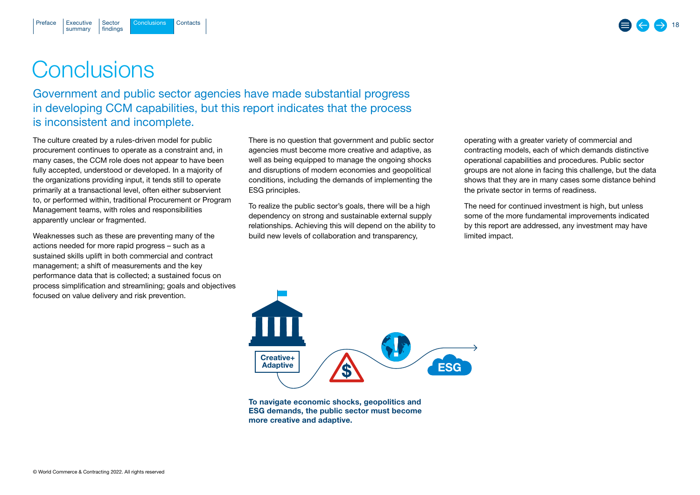Sector findings

[Executive](#page-2-0) Sector Conclusions [Contacts](#page-18-0)

# **Conclusions**

summary

<span id="page-17-0"></span>[Preface](#page-1-0)

Government and public sector agencies have made substantial progress in developing CCM capabilities, but this report indicates that the process is inconsistent and incomplete.

The culture created by a rules-driven model for public procurement continues to operate as a constraint and, in many cases, the CCM role does not appear to have been fully accepted, understood or developed. In a majority of the organizations providing input, it tends still to operate primarily at a transactional level, often either subservient to, or performed within, traditional Procurement or Program Management teams, with roles and responsibilities apparently unclear or fragmented.

Weaknesses such as these are preventing many of the actions needed for more rapid progress – such as a sustained skills uplift in both commercial and contract management; a shift of measurements and the key performance data that is collected; a sustained focus on process simplification and streamlining; goals and objectives focused on value delivery and risk prevention.

There is no question that government and public sector agencies must become more creative and adaptive, as well as being equipped to manage the ongoing shocks and disruptions of modern economies and geopolitical conditions, including the demands of implementing the ESG principles.

To realize the public sector's goals, there will be a high dependency on strong and sustainable external supply relationships. Achieving this will depend on the ability to build new levels of collaboration and transparency,

operating with a greater variety of commercial and contracting models, each of which demands distinctive operational capabilities and procedures. Public sector groups are not alone in facing this challenge, but the data shows that they are in many cases some distance behind the private sector in terms of readiness.

The need for continued investment is high, but unless some of the more fundamental improvements indicated by this report are addressed, any investment may have limited impact.

To navigate economic shocks, geopolitics and ESG demands, the public sector must become more creative and adaptive.